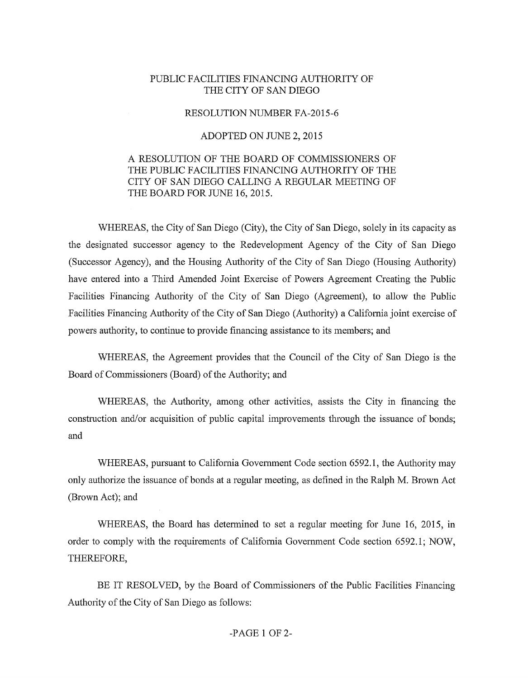## PUBLIC FACILITIES FINANCING AUTHORITY OF THE CITY OF SAN DIEGO

## RESOLUTION NUMBER FA-2015-6

## ADOPTED ON JUNE 2, 2015

## A RESOLUTION OF THE BOARD OF COMMISSIONERS OF THE PUBLIC FACILITIES FINANCING AUTHORITY OF THE CITY OF SAN DIEGO CALLING A REGULAR MEETING OF THE BOARD FOR JUNE 16, 2015.

WHEREAS, the City of San Diego (City), the City of San Diego, solely in its capacity as the designated successor agency to the Redevelopment Agency of the City of San Diego (Successor Agency), and the Housing Authority of the City of San Diego (Housing Authority) have entered into a Third Amended Joint Exercise of Powers Agreement Creating the Public Facilities Financing Authority of the City of San Diego (Agreement), to allow the Public Facilities Financing Authority of the City of San Diego (Authority) a Califomia joint exercise of powers authority, to continue to provide financing assistance to its members; and

WHEREAS, the Agreement provides that the Council of the City of San Diego is the Board of Commissioners (Board) of the Authority; and

WHEREAS, the Authority, among other activities, assists the City in financing the constmction and/or acquisition of public capital improvements through the issuance of bonds; and

WHEREAS, pursuant to Califomia Govemment Code section 6592.1, the Authority may only authorize the issuance of bonds at a regular meeting, as defined in the Ralph M. Brown Act (Brown Act); and

WHEREAS, the Board has determined to set a regular meeting for June 16, 2015, in order to comply with the requirements of Califomia Government Code section 6592.1; NOW, THEREFORE,

BE IT RESOLVED, by the Board of Commissioners of the Public Facilities Financing Authority of the City of San Diego as follows: